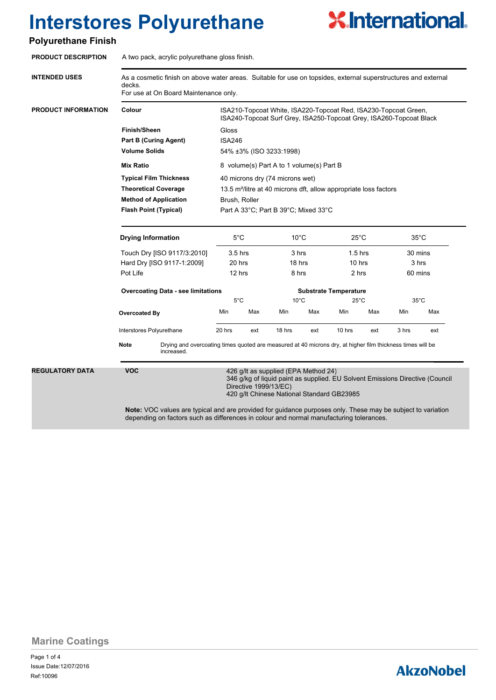

#### **Polyurethane Finish**

| <b>PRODUCT DESCRIPTION</b> | A two pack, acrylic polyurethane gloss finish.                                                                                                                                                             |                                      |                                                                                                                                        |                |                              |                |                 |       |                |  |
|----------------------------|------------------------------------------------------------------------------------------------------------------------------------------------------------------------------------------------------------|--------------------------------------|----------------------------------------------------------------------------------------------------------------------------------------|----------------|------------------------------|----------------|-----------------|-------|----------------|--|
| <b>INTENDED USES</b>       | As a cosmetic finish on above water areas. Suitable for use on topsides, external superstructures and external<br>decks.<br>For use at On Board Maintenance only.                                          |                                      |                                                                                                                                        |                |                              |                |                 |       |                |  |
| <b>PRODUCT INFORMATION</b> | Colour                                                                                                                                                                                                     |                                      | ISA210-Topcoat White, ISA220-Topcoat Red, ISA230-Topcoat Green,<br>ISA240-Topcoat Surf Grey, ISA250-Topcoat Grey, ISA260-Topcoat Black |                |                              |                |                 |       |                |  |
|                            | Finish/Sheen                                                                                                                                                                                               | Gloss                                |                                                                                                                                        |                |                              |                |                 |       |                |  |
|                            | <b>Part B (Curing Agent)</b>                                                                                                                                                                               |                                      | <b>ISA246</b>                                                                                                                          |                |                              |                |                 |       |                |  |
|                            | <b>Volume Solids</b>                                                                                                                                                                                       |                                      | 54% ±3% (ISO 3233:1998)                                                                                                                |                |                              |                |                 |       |                |  |
|                            | <b>Mix Ratio</b>                                                                                                                                                                                           |                                      | 8 volume(s) Part A to 1 volume(s) Part B                                                                                               |                |                              |                |                 |       |                |  |
|                            | <b>Typical Film Thickness</b>                                                                                                                                                                              |                                      | 40 microns dry (74 microns wet)                                                                                                        |                |                              |                |                 |       |                |  |
|                            | <b>Theoretical Coverage</b>                                                                                                                                                                                |                                      | 13.5 m <sup>2</sup> /litre at 40 microns dft, allow appropriate loss factors                                                           |                |                              |                |                 |       |                |  |
|                            | <b>Method of Application</b>                                                                                                                                                                               |                                      | Brush, Roller                                                                                                                          |                |                              |                |                 |       |                |  |
|                            | <b>Flash Point (Typical)</b>                                                                                                                                                                               | Part A 33°C; Part B 39°C; Mixed 33°C |                                                                                                                                        |                |                              |                |                 |       |                |  |
|                            | <b>Drying Information</b>                                                                                                                                                                                  | $5^{\circ}$ C                        |                                                                                                                                        | $10^{\circ}$ C |                              | $25^{\circ}$ C |                 |       | $35^{\circ}$ C |  |
|                            | Touch Dry [ISO 9117/3:2010]                                                                                                                                                                                | $3.5$ hrs                            |                                                                                                                                        | 3 hrs          |                              | $1.5$ hrs      |                 |       | 30 mins        |  |
|                            | Hard Dry [ISO 9117-1:2009]                                                                                                                                                                                 |                                      | 20 hrs<br>12 hrs                                                                                                                       |                | 18 hrs<br>8 hrs              |                | 10 hrs<br>2 hrs |       | 3 hrs          |  |
|                            | Pot Life                                                                                                                                                                                                   |                                      |                                                                                                                                        |                |                              |                |                 |       | 60 mins        |  |
|                            | <b>Overcoating Data - see limitations</b>                                                                                                                                                                  |                                      | 5°C                                                                                                                                    |                | <b>Substrate Temperature</b> |                |                 |       |                |  |
|                            |                                                                                                                                                                                                            |                                      |                                                                                                                                        |                | $10^{\circ}$ C               |                | $25^{\circ}$ C  |       | $35^{\circ}$ C |  |
|                            | Overcoated By                                                                                                                                                                                              | Min                                  | Max                                                                                                                                    | Min            | Max                          | Min            | Max             | Min   | Max            |  |
|                            | Interstores Polyurethane                                                                                                                                                                                   | 20 hrs                               | ext                                                                                                                                    | 18 hrs         | ext                          | 10 hrs         | ext             | 3 hrs | ext            |  |
|                            | <b>Note</b><br>Drying and overcoating times quoted are measured at 40 microns dry, at higher film thickness times will be<br>increased.                                                                    |                                      |                                                                                                                                        |                |                              |                |                 |       |                |  |
| <b>REGULATORY DATA</b>     | <b>VOC</b><br>426 g/lt as supplied (EPA Method 24)<br>346 g/kg of liquid paint as supplied. EU Solvent Emissions Directive (Council<br>Directive 1999/13/EC)<br>420 g/lt Chinese National Standard GB23985 |                                      |                                                                                                                                        |                |                              |                |                 |       |                |  |
|                            | Note: VOC values are typical and are provided for guidance purposes only. These may be subject to variation<br>depending on factors such as differences in colour and normal manufacturing tolerances.     |                                      |                                                                                                                                        |                |                              |                |                 |       |                |  |

**Marine Coatings**

Page 1 of 4 Ref:10096 Issue Date:12/07/2016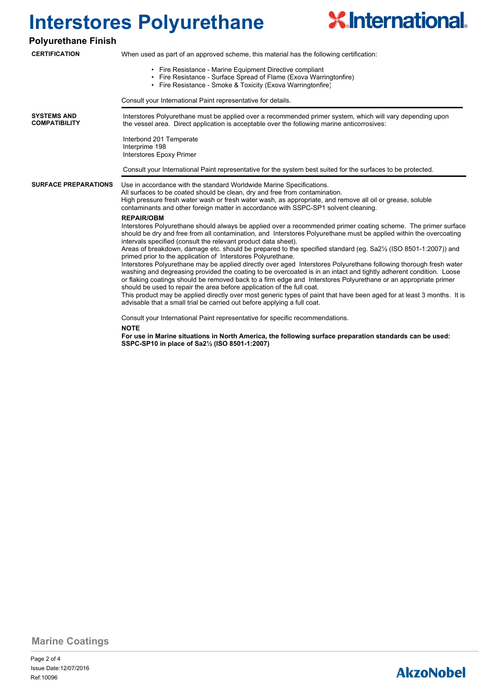

#### **Polyurethane Finish**

| <b>CERTIFICATION</b>                       | When used as part of an approved scheme, this material has the following certification:                                                                                                                                                                                                                                                                                                                                                                                                                                                                                                                                                                                                                                                                                                                                                                                                                                                                                                                                                                                                                                                                                                |  |  |  |  |
|--------------------------------------------|----------------------------------------------------------------------------------------------------------------------------------------------------------------------------------------------------------------------------------------------------------------------------------------------------------------------------------------------------------------------------------------------------------------------------------------------------------------------------------------------------------------------------------------------------------------------------------------------------------------------------------------------------------------------------------------------------------------------------------------------------------------------------------------------------------------------------------------------------------------------------------------------------------------------------------------------------------------------------------------------------------------------------------------------------------------------------------------------------------------------------------------------------------------------------------------|--|--|--|--|
|                                            | • Fire Resistance - Marine Equipment Directive compliant<br>• Fire Resistance - Surface Spread of Flame (Exova Warringtonfire)<br>• Fire Resistance - Smoke & Toxicity (Exova Warringtonfire)                                                                                                                                                                                                                                                                                                                                                                                                                                                                                                                                                                                                                                                                                                                                                                                                                                                                                                                                                                                          |  |  |  |  |
|                                            | Consult your International Paint representative for details.                                                                                                                                                                                                                                                                                                                                                                                                                                                                                                                                                                                                                                                                                                                                                                                                                                                                                                                                                                                                                                                                                                                           |  |  |  |  |
| <b>SYSTEMS AND</b><br><b>COMPATIBILITY</b> | Interstores Polyurethane must be applied over a recommended primer system, which will vary depending upon<br>the vessel area. Direct application is acceptable over the following marine anticorrosives:                                                                                                                                                                                                                                                                                                                                                                                                                                                                                                                                                                                                                                                                                                                                                                                                                                                                                                                                                                               |  |  |  |  |
|                                            | Interbond 201 Temperate<br>Interprime 198<br>Interstores Epoxy Primer                                                                                                                                                                                                                                                                                                                                                                                                                                                                                                                                                                                                                                                                                                                                                                                                                                                                                                                                                                                                                                                                                                                  |  |  |  |  |
|                                            | Consult your International Paint representative for the system best suited for the surfaces to be protected.                                                                                                                                                                                                                                                                                                                                                                                                                                                                                                                                                                                                                                                                                                                                                                                                                                                                                                                                                                                                                                                                           |  |  |  |  |
| <b>SURFACE PREPARATIONS</b>                | Use in accordance with the standard Worldwide Marine Specifications.<br>All surfaces to be coated should be clean, dry and free from contamination.<br>High pressure fresh water wash or fresh water wash, as appropriate, and remove all oil or grease, soluble<br>contaminants and other foreign matter in accordance with SSPC-SP1 solvent cleaning.                                                                                                                                                                                                                                                                                                                                                                                                                                                                                                                                                                                                                                                                                                                                                                                                                                |  |  |  |  |
|                                            | <b>REPAIR/OBM</b><br>Interstores Polyurethane should always be applied over a recommended primer coating scheme. The primer surface<br>should be dry and free from all contamination, and Interstores Polyurethane must be applied within the overcoating<br>intervals specified (consult the relevant product data sheet).<br>Areas of breakdown, damage etc. should be prepared to the specified standard (eg. Sa2 <sup>1</sup> / <sub>2</sub> (ISO 8501-1:2007)) and<br>primed prior to the application of Interstores Polyurethane.<br>Interstores Polyurethane may be applied directly over aged Interstores Polyurethane following thorough fresh water<br>washing and degreasing provided the coating to be overcoated is in an intact and tightly adherent condition. Loose<br>or flaking coatings should be removed back to a firm edge and Interstores Polyurethane or an appropriate primer<br>should be used to repair the area before application of the full coat.<br>This product may be applied directly over most generic types of paint that have been aged for at least 3 months. It is<br>advisable that a small trial be carried out before applying a full coat. |  |  |  |  |
|                                            | Consult your International Paint representative for specific recommendations.                                                                                                                                                                                                                                                                                                                                                                                                                                                                                                                                                                                                                                                                                                                                                                                                                                                                                                                                                                                                                                                                                                          |  |  |  |  |
|                                            | <b>NOTE</b>                                                                                                                                                                                                                                                                                                                                                                                                                                                                                                                                                                                                                                                                                                                                                                                                                                                                                                                                                                                                                                                                                                                                                                            |  |  |  |  |

**For use in Marine situations in North America, the following surface preparation standards can be used: SSPC-SP10 in place of Sa2½ (ISO 8501-1:2007)**

**Marine Coatings**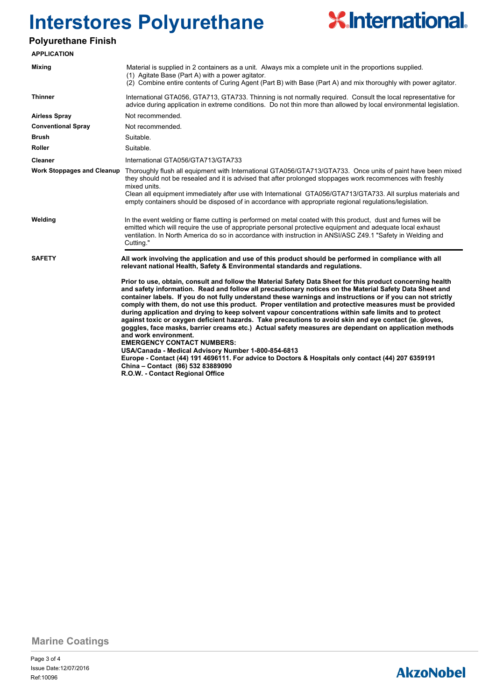

#### **Polyurethane Finish**

| <b>APPLICATION</b>                |                                                                                                                                                                                                                                                                                                                                                                                                                                                                                                                                                                                                                                                                                                                                                                                                                                                                                                                                                                                                                                                                                                                                                                                                                                                                        |  |  |  |
|-----------------------------------|------------------------------------------------------------------------------------------------------------------------------------------------------------------------------------------------------------------------------------------------------------------------------------------------------------------------------------------------------------------------------------------------------------------------------------------------------------------------------------------------------------------------------------------------------------------------------------------------------------------------------------------------------------------------------------------------------------------------------------------------------------------------------------------------------------------------------------------------------------------------------------------------------------------------------------------------------------------------------------------------------------------------------------------------------------------------------------------------------------------------------------------------------------------------------------------------------------------------------------------------------------------------|--|--|--|
| <b>Mixing</b>                     | Material is supplied in 2 containers as a unit. Always mix a complete unit in the proportions supplied.<br>(1) Agitate Base (Part A) with a power agitator.<br>(2) Combine entire contents of Curing Agent (Part B) with Base (Part A) and mix thoroughly with power agitator.                                                                                                                                                                                                                                                                                                                                                                                                                                                                                                                                                                                                                                                                                                                                                                                                                                                                                                                                                                                         |  |  |  |
| <b>Thinner</b>                    | International GTA056, GTA713, GTA733. Thinning is not normally required. Consult the local representative for<br>advice during application in extreme conditions. Do not thin more than allowed by local environmental legislation.                                                                                                                                                                                                                                                                                                                                                                                                                                                                                                                                                                                                                                                                                                                                                                                                                                                                                                                                                                                                                                    |  |  |  |
| <b>Airless Spray</b>              | Not recommended.                                                                                                                                                                                                                                                                                                                                                                                                                                                                                                                                                                                                                                                                                                                                                                                                                                                                                                                                                                                                                                                                                                                                                                                                                                                       |  |  |  |
| <b>Conventional Spray</b>         | Not recommended.                                                                                                                                                                                                                                                                                                                                                                                                                                                                                                                                                                                                                                                                                                                                                                                                                                                                                                                                                                                                                                                                                                                                                                                                                                                       |  |  |  |
| <b>Brush</b>                      | Suitable.                                                                                                                                                                                                                                                                                                                                                                                                                                                                                                                                                                                                                                                                                                                                                                                                                                                                                                                                                                                                                                                                                                                                                                                                                                                              |  |  |  |
| Roller                            | Suitable.                                                                                                                                                                                                                                                                                                                                                                                                                                                                                                                                                                                                                                                                                                                                                                                                                                                                                                                                                                                                                                                                                                                                                                                                                                                              |  |  |  |
| <b>Cleaner</b>                    | International GTA056/GTA713/GTA733                                                                                                                                                                                                                                                                                                                                                                                                                                                                                                                                                                                                                                                                                                                                                                                                                                                                                                                                                                                                                                                                                                                                                                                                                                     |  |  |  |
| <b>Work Stoppages and Cleanup</b> | Thoroughly flush all equipment with International GTA056/GTA713/GTA733. Once units of paint have been mixed<br>they should not be resealed and it is advised that after prolonged stoppages work recommences with freshly<br>mixed units.<br>Clean all equipment immediately after use with International GTA056/GTA713/GTA733. All surplus materials and<br>empty containers should be disposed of in accordance with appropriate regional regulations/legislation.                                                                                                                                                                                                                                                                                                                                                                                                                                                                                                                                                                                                                                                                                                                                                                                                   |  |  |  |
| Welding                           | In the event welding or flame cutting is performed on metal coated with this product, dust and fumes will be<br>emitted which will require the use of appropriate personal protective equipment and adequate local exhaust<br>ventilation. In North America do so in accordance with instruction in ANSI/ASC Z49.1 "Safety in Welding and<br>Cutting."                                                                                                                                                                                                                                                                                                                                                                                                                                                                                                                                                                                                                                                                                                                                                                                                                                                                                                                 |  |  |  |
| <b>SAFETY</b>                     | All work involving the application and use of this product should be performed in compliance with all<br>relevant national Health, Safety & Environmental standards and regulations.<br>Prior to use, obtain, consult and follow the Material Safety Data Sheet for this product concerning health<br>and safety information. Read and follow all precautionary notices on the Material Safety Data Sheet and<br>container labels. If you do not fully understand these warnings and instructions or if you can not strictly<br>comply with them, do not use this product. Proper ventilation and protective measures must be provided<br>during application and drying to keep solvent vapour concentrations within safe limits and to protect<br>against toxic or oxygen deficient hazards. Take precautions to avoid skin and eye contact (ie. gloves,<br>goggles, face masks, barrier creams etc.) Actual safety measures are dependant on application methods<br>and work environment.<br><b>EMERGENCY CONTACT NUMBERS:</b><br>USA/Canada - Medical Advisory Number 1-800-854-6813<br>Europe - Contact (44) 191 4696111. For advice to Doctors & Hospitals only contact (44) 207 6359191<br>China - Contact (86) 532 83889090<br>R.O.W. - Contact Regional Office |  |  |  |